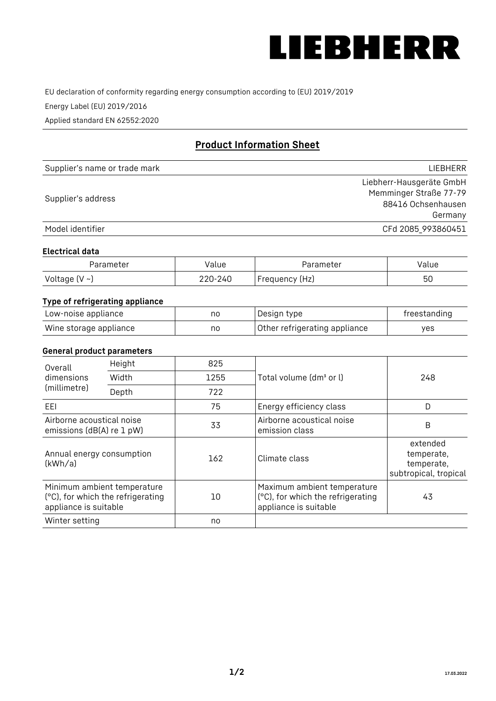

EU declaration of conformity regarding energy consumption according to (EU) 2019/2019

Energy Label (EU) 2019/2016

Applied standard EN 62552:2020

# **Product Information Sheet**

| Supplier's name or trade mark | <b>LIFBHFRR</b>          |
|-------------------------------|--------------------------|
|                               | Liebherr-Hausgeräte GmbH |
| Supplier's address            | Memminger Straße 77-79   |
|                               | 88416 Ochsenhausen       |
|                               | Germany                  |
| Model identifier              | CFd 2085_993860451       |

#### **Electrical data**

| Parameter           | Value   | Parameter      | Value |
|---------------------|---------|----------------|-------|
| Voltage (V $\sim$ ) | 220-240 | Frequency (Hz) | 50    |

## **Type of refrigerating appliance**

| Low-noise appliance    | nc | Design type                   | freestanding |
|------------------------|----|-------------------------------|--------------|
| Wine storage appliance | nc | Other refrigerating appliance | ves          |

#### **General product parameters**

| Height<br>Overall                                      |                                                                  | 825  |                                                                                           |                                                               |
|--------------------------------------------------------|------------------------------------------------------------------|------|-------------------------------------------------------------------------------------------|---------------------------------------------------------------|
| dimensions<br>(millimetre)                             | Width                                                            | 1255 | Total volume (dm <sup>3</sup> or l)                                                       | 248                                                           |
|                                                        | Depth                                                            | 722  |                                                                                           |                                                               |
| EEL                                                    |                                                                  | 75   | Energy efficiency class                                                                   | D                                                             |
| Airborne acoustical noise<br>emissions (dB(A) re 1 pW) |                                                                  | 33   | Airborne acoustical noise<br>emission class                                               | B                                                             |
| Annual energy consumption<br>(kWh/a)                   |                                                                  | 162  | Climate class                                                                             | extended<br>temperate,<br>temperate,<br>subtropical, tropical |
| appliance is suitable                                  | Minimum ambient temperature<br>(°C), for which the refrigerating | 10   | Maximum ambient temperature<br>(°C), for which the refrigerating<br>appliance is suitable | 43                                                            |
| Winter setting                                         |                                                                  | no   |                                                                                           |                                                               |